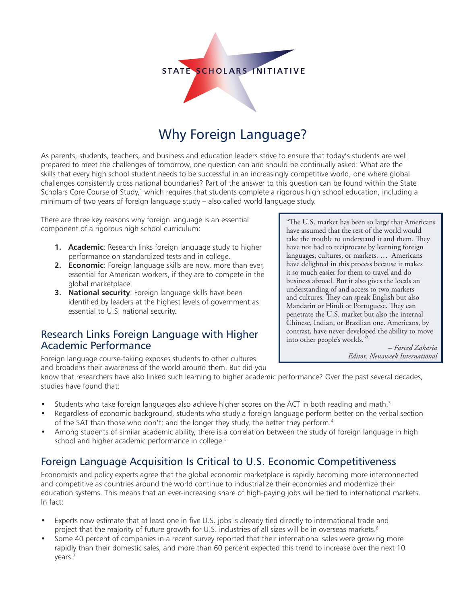

# Why Foreign Language?

As parents, students, teachers, and business and education leaders strive to ensure that today's students are well prepared to meet the challenges of tomorrow, one question can and should be continually asked: What are the skills that every high school student needs to be successful in an increasingly competitive world, one where global challenges consistently cross national boundaries? Part of the answer to this question can be found within the State Scholars Core Course of Study,<sup>1</sup> which requires that students complete a rigorous high school education, including a minimum of two years of foreign language study – also called world language study.

There are three key reasons why foreign language is an essential component of a rigorous high school curriculum:

- **1. Academic**: Research links foreign language study to higher performance on standardized tests and in college.
- **2. Economic**: Foreign language skills are now, more than ever, essential for American workers, if they are to compete in the global marketplace.
- **3. National security**: Foreign language skills have been identified by leaders at the highest levels of government as essential to U.S. national security.

## Research Links Foreign Language with Higher Academic Performance

Foreign language course-taking exposes students to other cultures and broadens their awareness of the world around them. But did you

know that researchers have also linked such learning to higher academic performance? Over the past several decades, studies have found that:

- Students who take foreign languages also achieve higher scores on the ACT in both reading and math. $3$
- Regardless of economic background, students who study a foreign language perform better on the verbal section of the SAT than those who don't; and the longer they study, the better they perform.<sup>4</sup>
- Among students of similar academic ability, there is a correlation between the study of foreign language in high school and higher academic performance in college.<sup>5</sup>

# Foreign Language Acquisition Is Critical to U.S. Economic Competitiveness

Economists and policy experts agree that the global economic marketplace is rapidly becoming more interconnected and competitive as countries around the world continue to industrialize their economies and modernize their education systems. This means that an ever-increasing share of high-paying jobs will be tied to international markets. In fact:

- Experts now estimate that at least one in five U.S. jobs is already tied directly to international trade and project that the majority of future growth for U.S. industries of all sizes will be in overseas markets.<sup>6</sup>
- Some 40 percent of companies in a recent survey reported that their international sales were growing more rapidly than their domestic sales, and more than 60 percent expected this trend to increase over the next 10 years.7

"The U.S. market has been so large that Americans have assumed that the rest of the world would take the trouble to understand it and them. They have not had to reciprocate by learning foreign languages, cultures, or markets. … Americans have delighted in this process because it makes it so much easier for them to travel and do business abroad. But it also gives the locals an understanding of and access to two markets and cultures. They can speak English but also Mandarin or Hindi or Portuguese. They can penetrate the U.S. market but also the internal Chinese, Indian, or Brazilian one. Americans, by contrast, have never developed the ability to move into other people's worlds."2

> *– Fareed Zakaria Editor, Newsweek International*